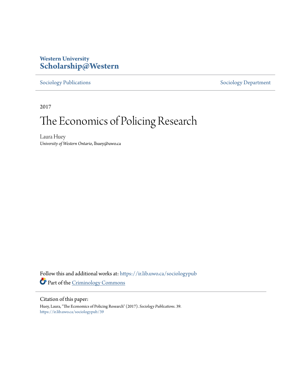# **Western University [Scholarship@Western](https://ir.lib.uwo.ca?utm_source=ir.lib.uwo.ca%2Fsociologypub%2F39&utm_medium=PDF&utm_campaign=PDFCoverPages)**

[Sociology Publications](https://ir.lib.uwo.ca/sociologypub?utm_source=ir.lib.uwo.ca%2Fsociologypub%2F39&utm_medium=PDF&utm_campaign=PDFCoverPages) [Sociology Department](https://ir.lib.uwo.ca/sociology?utm_source=ir.lib.uwo.ca%2Fsociologypub%2F39&utm_medium=PDF&utm_campaign=PDFCoverPages)

2017

# The Economics of Policing Research

Laura Huey *University of Western Ontario*, lhuey@uwo.ca

Follow this and additional works at: [https://ir.lib.uwo.ca/sociologypub](https://ir.lib.uwo.ca/sociologypub?utm_source=ir.lib.uwo.ca%2Fsociologypub%2F39&utm_medium=PDF&utm_campaign=PDFCoverPages) Part of the [Criminology Commons](http://network.bepress.com/hgg/discipline/417?utm_source=ir.lib.uwo.ca%2Fsociologypub%2F39&utm_medium=PDF&utm_campaign=PDFCoverPages)

#### Citation of this paper:

Huey, Laura, "The Economics of Policing Research" (2017). *Sociology Publications*. 39. [https://ir.lib.uwo.ca/sociologypub/39](https://ir.lib.uwo.ca/sociologypub/39?utm_source=ir.lib.uwo.ca%2Fsociologypub%2F39&utm_medium=PDF&utm_campaign=PDFCoverPages)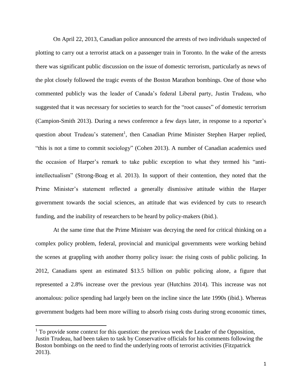On April 22, 2013, Canadian police announced the arrests of two individuals suspected of plotting to carry out a terrorist attack on a passenger train in Toronto. In the wake of the arrests there was significant public discussion on the issue of domestic terrorism, particularly as news of the plot closely followed the tragic events of the Boston Marathon bombings. One of those who commented publicly was the leader of Canada's federal Liberal party, Justin Trudeau, who suggested that it was necessary for societies to search for the "root causes" of domestic terrorism (Campion-Smith 2013). During a news conference a few days later, in response to a reporter's question about Trudeau's statement<sup>1</sup>, then Canadian Prime Minister Stephen Harper replied, "this is not a time to commit sociology" (Cohen 2013). A number of Canadian academics used the occasion of Harper's remark to take public exception to what they termed his "antiintellectualism" (Strong-Boag et al. 2013). In support of their contention, they noted that the Prime Minister's statement reflected a generally dismissive attitude within the Harper government towards the social sciences, an attitude that was evidenced by cuts to research funding, and the inability of researchers to be heard by policy-makers (ibid.).

At the same time that the Prime Minister was decrying the need for critical thinking on a complex policy problem, federal, provincial and municipal governments were working behind the scenes at grappling with another thorny policy issue: the rising costs of public policing. In 2012, Canadians spent an estimated \$13.5 billion on public policing alone, a figure that represented a 2.8% increase over the previous year (Hutchins 2014). This increase was not anomalous: police spending had largely been on the incline since the late 1990s (ibid.). Whereas government budgets had been more willing to absorb rising costs during strong economic times,

l

 $<sup>1</sup>$  To provide some context for this question: the previous week the Leader of the Opposition,</sup> Justin Trudeau, had been taken to task by Conservative officials for his comments following the Boston bombings on the need to find the underlying roots of terrorist activities (Fitzpatrick 2013).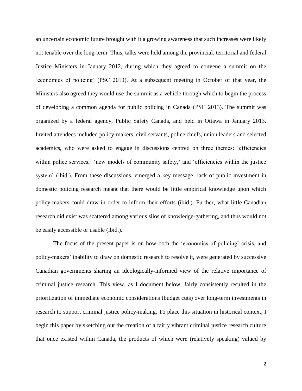an uncertain economic future brought with it a growing awareness that such increases were likely not tenable over the long-term. Thus, talks were held among the provincial, territorial and federal Justice Ministers in January 2012, during which they agreed to convene a summit on the 'economics of policing' (PSC 2013). At a subsequent meeting in October of that year, the Ministers also agreed they would use the summit as a vehicle through which to begin the process of developing a common agenda for public policing in Canada (PSC 2013). The summit was organized by a federal agency, Public Safety Canada, and held in Ottawa in January 2013. Invited attendees included policy-makers, civil servants, police chiefs, union leaders and selected academics, who were asked to engage in discussions centred on three themes: 'efficiencies within police services,' 'new models of community safety,' and 'efficiencies within the justice system' (ibid.). From these discussions, emerged a key message: lack of public investment in domestic policing research meant that there would be little empirical knowledge upon which policy-makers could draw in order to inform their efforts (ibid.). Further, what little Canadian research did exist was scattered among various silos of knowledge-gathering, and thus would not be easily accessible or usable (ibid.).

The focus of the present paper is on how both the 'economics of policing' crisis, and policy-makers' inability to draw on domestic research to resolve it, were generated by successive Canadian governments sharing an ideologically-informed view of the relative importance of criminal justice research. This view, as I document below, fairly consistently resulted in the prioritization of immediate economic considerations (budget cuts) over long-term investments in research to support criminal justice policy-making. To place this situation in historical context, I begin this paper by sketching out the creation of a fairly vibrant criminal justice research culture that once existed within Canada, the products of which were (relatively speaking) valued by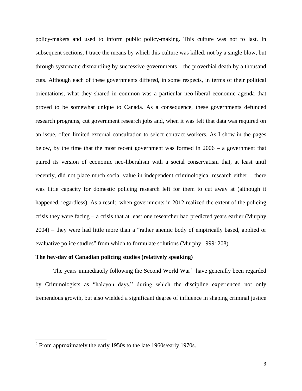policy-makers and used to inform public policy-making. This culture was not to last. In subsequent sections, I trace the means by which this culture was killed, not by a single blow, but through systematic dismantling by successive governments – the proverbial death by a thousand cuts. Although each of these governments differed, in some respects, in terms of their political orientations, what they shared in common was a particular neo-liberal economic agenda that proved to be somewhat unique to Canada. As a consequence, these governments defunded research programs, cut government research jobs and, when it was felt that data was required on an issue, often limited external consultation to select contract workers. As I show in the pages below, by the time that the most recent government was formed in 2006 – a government that paired its version of economic neo-liberalism with a social conservatism that, at least until recently, did not place much social value in independent criminological research either – there was little capacity for domestic policing research left for them to cut away at (although it happened, regardless). As a result, when governments in 2012 realized the extent of the policing crisis they were facing – a crisis that at least one researcher had predicted years earlier (Murphy 2004) – they were had little more than a "rather anemic body of empirically based, applied or evaluative police studies" from which to formulate solutions (Murphy 1999: 208).

### **The hey-day of Canadian policing studies (relatively speaking)**

The years immediately following the Second World  $War<sup>2</sup>$  have generally been regarded by Criminologists as "halcyon days," during which the discipline experienced not only tremendous growth, but also wielded a significant degree of influence in shaping criminal justice

 $\overline{a}$ 

 $2$  From approximately the early 1950s to the late 1960s/early 1970s.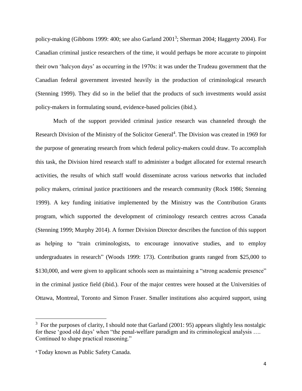policy-making (Gibbons 1999: 400; see also Garland 2001<sup>3</sup>; Sherman 2004; Haggerty 2004). For Canadian criminal justice researchers of the time, it would perhaps be more accurate to pinpoint their own 'halcyon days' as occurring in the 1970s: it was under the Trudeau government that the Canadian federal government invested heavily in the production of criminological research (Stenning 1999). They did so in the belief that the products of such investments would assist policy-makers in formulating sound, evidence-based policies (ibid.).

Much of the support provided criminal justice research was channeled through the Research Division of the Ministry of the Solicitor General<sup>4</sup>. The Division was created in 1969 for the purpose of generating research from which federal policy-makers could draw. To accomplish this task, the Division hired research staff to administer a budget allocated for external research activities, the results of which staff would disseminate across various networks that included policy makers, criminal justice practitioners and the research community (Rock 1986; Stenning 1999). A key funding initiative implemented by the Ministry was the Contribution Grants program, which supported the development of criminology research centres across Canada (Stenning 1999; Murphy 2014). A former Division Director describes the function of this support as helping to "train criminologists, to encourage innovative studies, and to employ undergraduates in research" (Woods 1999: 173). Contribution grants ranged from \$25,000 to \$130,000, and were given to applicant schools seen as maintaining a "strong academic presence" in the criminal justice field (ibid.). Four of the major centres were housed at the Universities of Ottawa, Montreal, Toronto and Simon Fraser. Smaller institutions also acquired support, using

l

 $3$  For the purposes of clarity, I should note that Garland (2001: 95) appears slightly less nostalgic for these 'good old days' when "the penal-welfare paradigm and its criminological analysis …. Continued to shape practical reasoning."

<sup>4</sup> Today known as Public Safety Canada.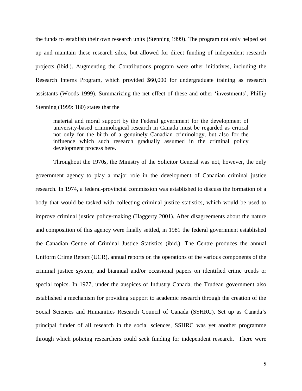the funds to establish their own research units (Stenning 1999). The program not only helped set up and maintain these research silos, but allowed for direct funding of independent research projects (ibid.). Augmenting the Contributions program were other initiatives, including the Research Interns Program, which provided \$60,000 for undergraduate training as research assistants (Woods 1999). Summarizing the net effect of these and other 'investments', Phillip Stenning (1999: 180) states that the

material and moral support by the Federal government for the development of university-based criminological research in Canada must be regarded as critical not only for the birth of a genuinely Canadian criminology, but also for the influence which such research gradually assumed in the criminal policy development process here.

Throughout the 1970s, the Ministry of the Solicitor General was not, however, the only government agency to play a major role in the development of Canadian criminal justice research. In 1974, a federal-provincial commission was established to discuss the formation of a body that would be tasked with collecting criminal justice statistics, which would be used to improve criminal justice policy-making (Haggerty 2001). After disagreements about the nature and composition of this agency were finally settled, in 1981 the federal government established the Canadian Centre of Criminal Justice Statistics (ibid.). The Centre produces the annual Uniform Crime Report (UCR), annual reports on the operations of the various components of the criminal justice system, and biannual and/or occasional papers on identified crime trends or special topics. In 1977, under the auspices of Industry Canada, the Trudeau government also established a mechanism for providing support to academic research through the creation of the Social Sciences and Humanities Research Council of Canada (SSHRC). Set up as Canada's principal funder of all research in the social sciences, SSHRC was yet another programme through which policing researchers could seek funding for independent research. There were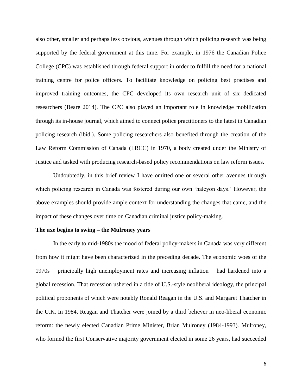also other, smaller and perhaps less obvious, avenues through which policing research was being supported by the federal government at this time. For example, in 1976 the Canadian Police College (CPC) was established through federal support in order to fulfill the need for a national training centre for police officers. To facilitate knowledge on policing best practises and improved training outcomes, the CPC developed its own research unit of six dedicated researchers (Beare 2014). The CPC also played an important role in knowledge mobilization through its in-house journal, which aimed to connect police practitioners to the latest in Canadian policing research (ibid.). Some policing researchers also benefited through the creation of the Law Reform Commission of Canada (LRCC) in 1970, a body created under the Ministry of Justice and tasked with producing research-based policy recommendations on law reform issues.

Undoubtedly, in this brief review I have omitted one or several other avenues through which policing research in Canada was fostered during our own 'halcyon days.' However, the above examples should provide ample context for understanding the changes that came, and the impact of these changes over time on Canadian criminal justice policy-making.

#### **The axe begins to swing – the Mulroney years**

In the early to mid-1980s the mood of federal policy-makers in Canada was very different from how it might have been characterized in the preceding decade. The economic woes of the 1970s – principally high unemployment rates and increasing inflation – had hardened into a global recession. That recession ushered in a tide of U.S.-style neoliberal ideology, the principal political proponents of which were notably Ronald Reagan in the U.S. and Margaret Thatcher in the U.K. In 1984, Reagan and Thatcher were joined by a third believer in neo-liberal economic reform: the newly elected Canadian Prime Minister, Brian Mulroney (1984-1993). Mulroney, who formed the first Conservative majority government elected in some 26 years, had succeeded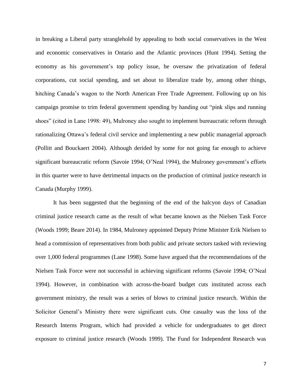in breaking a Liberal party stranglehold by appealing to both social conservatives in the West and economic conservatives in Ontario and the Atlantic provinces (Hunt 1994). Setting the economy as his government's top policy issue, he oversaw the privatization of federal corporations, cut social spending, and set about to liberalize trade by, among other things, hitching Canada's wagon to the North American Free Trade Agreement. Following up on his campaign promise to trim federal government spending by handing out "pink slips and running shoes" (cited in Lane 1998: 49), Mulroney also sought to implement bureaucratic reform through rationalizing Ottawa's federal civil service and implementing a new public managerial approach (Pollitt and Bouckaert 2004). Although derided by some for not going far enough to achieve significant bureaucratic reform (Savoie 1994; O'Neal 1994), the Mulroney government's efforts in this quarter were to have detrimental impacts on the production of criminal justice research in Canada (Murphy 1999).

It has been suggested that the beginning of the end of the halcyon days of Canadian criminal justice research came as the result of what became known as the Nielsen Task Force (Woods 1999; Beare 2014). In 1984, Mulroney appointed Deputy Prime Minister Erik Nielsen to head a commission of representatives from both public and private sectors tasked with reviewing over 1,000 federal programmes (Lane 1998). Some have argued that the recommendations of the Nielsen Task Force were not successful in achieving significant reforms (Savoie 1994; O'Neal 1994). However, in combination with across-the-board budget cuts instituted across each government ministry, the result was a series of blows to criminal justice research. Within the Solicitor General's Ministry there were significant cuts. One casualty was the loss of the Research Interns Program, which had provided a vehicle for undergraduates to get direct exposure to criminal justice research (Woods 1999). The Fund for Independent Research was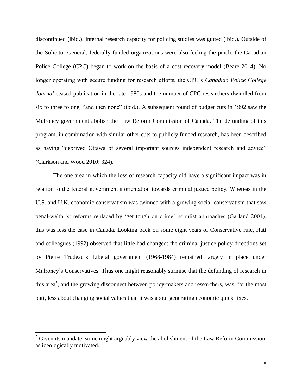discontinued (ibid.). Internal research capacity for policing studies was gutted (ibid.). Outside of the Solicitor General, federally funded organizations were also feeling the pinch: the Canadian Police College (CPC) began to work on the basis of a cost recovery model (Beare 2014). No longer operating with secure funding for research efforts, the CPC's *Canadian Police College Journal* ceased publication in the late 1980s and the number of CPC researchers dwindled from six to three to one, "and then none" (ibid.). A subsequent round of budget cuts in 1992 saw the Mulroney government abolish the Law Reform Commission of Canada. The defunding of this program, in combination with similar other cuts to publicly funded research, has been described as having "deprived Ottawa of several important sources independent research and advice" (Clarkson and Wood 2010: 324).

The one area in which the loss of research capacity did have a significant impact was in relation to the federal government's orientation towards criminal justice policy. Whereas in the U.S. and U.K. economic conservatism was twinned with a growing social conservatism that saw penal-welfarist reforms replaced by 'get tough on crime' populist approaches (Garland 2001), this was less the case in Canada. Looking back on some eight years of Conservative rule, Hatt and colleagues (1992) observed that little had changed: the criminal justice policy directions set by Pierre Trudeau's Liberal government (1968-1984) remained largely in place under Mulroney's Conservatives. Thus one might reasonably surmise that the defunding of research in this area<sup>5</sup>, and the growing disconnect between policy-makers and researchers, was, for the most part, less about changing social values than it was about generating economic quick fixes.

 $\overline{a}$ 

 $<sup>5</sup>$  Given its mandate, some might arguably view the abolishment of the Law Reform Commission</sup> as ideologically motivated.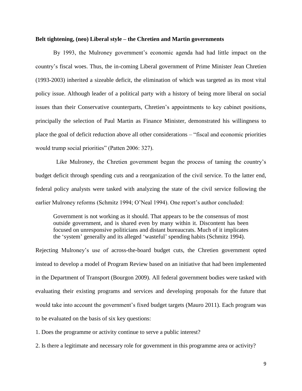#### **Belt tightening, (neo) Liberal style – the Chretien and Martin governments**

By 1993, the Mulroney government's economic agenda had had little impact on the country's fiscal woes. Thus, the in-coming Liberal government of Prime Minister Jean Chretien (1993-2003) inherited a sizeable deficit, the elimination of which was targeted as its most vital policy issue. Although leader of a political party with a history of being more liberal on social issues than their Conservative counterparts, Chretien's appointments to key cabinet positions, principally the selection of Paul Martin as Finance Minister, demonstrated his willingness to place the goal of deficit reduction above all other considerations – "fiscal and economic priorities would trump social priorities" (Patten 2006: 327).

 Like Mulroney, the Chretien government began the process of taming the country's budget deficit through spending cuts and a reorganization of the civil service. To the latter end, federal policy analysts were tasked with analyzing the state of the civil service following the earlier Mulroney reforms (Schmitz 1994; O'Neal 1994). One report's author concluded:

Government is not working as it should. That appears to be the consensus of most outside government, and is shared even by many within it. Discontent has been focused on unresponsive politicians and distant bureaucrats. Much of it implicates the 'system' generally and its alleged 'wasteful' spending habits (Schmitz 1994).

Rejecting Mulroney's use of across-the-board budget cuts, the Chretien government opted instead to develop a model of Program Review based on an initiative that had been implemented in the Department of Transport (Bourgon 2009). All federal government bodies were tasked with evaluating their existing programs and services and developing proposals for the future that would take into account the government's fixed budget targets (Mauro 2011). Each program was to be evaluated on the basis of six key questions:

1. Does the programme or activity continue to serve a public interest?

2. Is there a legitimate and necessary role for government in this programme area or activity?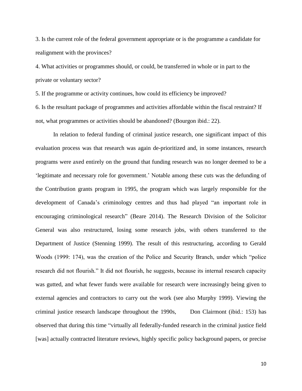3. Is the current role of the federal government appropriate or is the programme a candidate for realignment with the provinces?

4. What activities or programmes should, or could, be transferred in whole or in part to the private or voluntary sector?

5. If the programme or activity continues, how could its efficiency be improved?

6. Is the resultant package of programmes and activities affordable within the fiscal restraint? If not, what programmes or activities should be abandoned? (Bourgon ibid.: 22).

In relation to federal funding of criminal justice research, one significant impact of this evaluation process was that research was again de-prioritized and, in some instances, research programs were axed entirely on the ground that funding research was no longer deemed to be a 'legitimate and necessary role for government.' Notable among these cuts was the defunding of the Contribution grants program in 1995, the program which was largely responsible for the development of Canada's criminology centres and thus had played "an important role in encouraging criminological research" (Beare 2014). The Research Division of the Solicitor General was also restructured, losing some research jobs, with others transferred to the Department of Justice (Stenning 1999). The result of this restructuring, according to Gerald Woods (1999: 174), was the creation of the Police and Security Branch, under which "police research did not flourish." It did not flourish, he suggests, because its internal research capacity was gutted, and what fewer funds were available for research were increasingly being given to external agencies and contractors to carry out the work (see also Murphy 1999). Viewing the criminal justice research landscape throughout the 1990s, Don Clairmont (ibid.: 153) has observed that during this time "virtually all federally-funded research in the criminal justice field [was] actually contracted literature reviews, highly specific policy background papers, or precise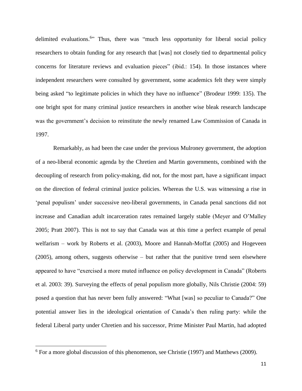delimited evaluations.<sup>6</sup>" Thus, there was "much less opportunity for liberal social policy researchers to obtain funding for any research that [was] not closely tied to departmental policy concerns for literature reviews and evaluation pieces" (ibid.: 154). In those instances where independent researchers were consulted by government, some academics felt they were simply being asked "to legitimate policies in which they have no influence" (Brodeur 1999: 135). The one bright spot for many criminal justice researchers in another wise bleak research landscape was the government's decision to reinstitute the newly renamed Law Commission of Canada in 1997.

Remarkably, as had been the case under the previous Mulroney government, the adoption of a neo-liberal economic agenda by the Chretien and Martin governments, combined with the decoupling of research from policy-making, did not, for the most part, have a significant impact on the direction of federal criminal justice policies. Whereas the U.S. was witnessing a rise in 'penal populism' under successive neo-liberal governments, in Canada penal sanctions did not increase and Canadian adult incarceration rates remained largely stable (Meyer and O'Malley 2005; Pratt 2007). This is not to say that Canada was at this time a perfect example of penal welfarism – work by Roberts et al. (2003), Moore and Hannah-Moffat (2005) and Hogeveen (2005), among others, suggests otherwise – but rather that the punitive trend seen elsewhere appeared to have "exercised a more muted influence on policy development in Canada" (Roberts et al. 2003: 39). Surveying the effects of penal populism more globally, Nils Christie (2004: 59) posed a question that has never been fully answered: "What [was] so peculiar to Canada?" One potential answer lies in the ideological orientation of Canada's then ruling party: while the federal Liberal party under Chretien and his successor, Prime Minister Paul Martin, had adopted

 $\overline{\phantom{a}}$ 

<sup>&</sup>lt;sup>6</sup> For a more global discussion of this phenomenon, see Christie (1997) and Matthews (2009).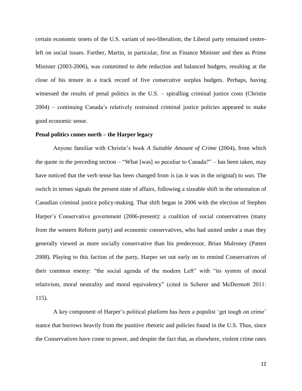certain economic tenets of the U.S. variant of neo-liberalism, the Liberal party remained centreleft on social issues. Further, Martin, in particular, first as Finance Minister and then as Prime Minister (2003-2006), was committed to debt reduction and balanced budgets, resulting at the close of his tenure in a track record of five consecutive surplus budgets. Perhaps, having witnessed the results of penal politics in the U.S. – spiralling criminal justice costs (Christie 2004) – continuing Canada's relatively restrained criminal justice policies appeared to make good economic sense.

#### **Penal politics comes north – the Harper legacy**

Anyone familiar with Christie's book *A Suitable Amount of Crime* (2004), from which the quote in the preceding section – "What [was] so peculiar to Canada?" – has been taken, may have noticed that the verb tense has been changed from *is* (as it was in the original) to *was*. The switch in tenses signals the present state of affairs, following a sizeable shift in the orientation of Canadian criminal justice policy-making. That shift began in 2006 with the election of Stephen Harper's Conservative government (2006-present): a coalition of social conservatives (many from the western Reform party) and economic conservatives, who had united under a man they generally viewed as more socially conservative than his predecessor, Brian Mulroney (Patten 2008). Playing to this faction of the party, Harper set out early on to remind Conservatives of their common enemy: "the social agenda of the modern Left" with "its system of moral relativism, moral neutrality and moral equivalency" (cited in Scherer and McDermott 2011: 115).

A key component of Harper's political platform has been a populist 'get tough on crime' stance that borrows heavily from the punitive rhetoric and policies found in the U.S. Thus, since the Conservatives have come to power, and despite the fact that, as elsewhere, violent crime rates

12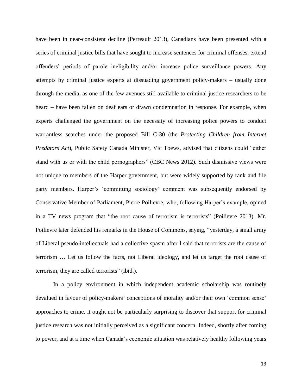have been in near-consistent decline (Perreault 2013), Canadians have been presented with a series of criminal justice bills that have sought to increase sentences for criminal offenses, extend offenders' periods of parole ineligibility and/or increase police surveillance powers. Any attempts by criminal justice experts at dissuading government policy-makers – usually done through the media, as one of the few avenues still available to criminal justice researchers to be heard – have been fallen on deaf ears or drawn condemnation in response. For example, when experts challenged the government on the necessity of increasing police powers to conduct warrantless searches under the proposed Bill C-30 (the *Protecting Children from Internet Predators Act*), Public Safety Canada Minister, Vic Toews, advised that citizens could "either stand with us or with the child pornographers" (CBC News 2012). Such dismissive views were not unique to members of the Harper government, but were widely supported by rank and file party members. Harper's 'committing sociology' comment was subsequently endorsed by Conservative Member of Parliament, Pierre Poilievre, who, following Harper's example, opined in a TV news program that "the root cause of terrorism is terrorists" (Poilievre 2013). Mr. Poilievre later defended his remarks in the House of Commons, saying, "yesterday, a small army of Liberal pseudo-intellectuals had a collective spasm after I said that terrorists are the cause of terrorism … Let us follow the facts, not Liberal ideology, and let us target the root cause of terrorism, they are called terrorists" (ibid.).

In a policy environment in which independent academic scholarship was routinely devalued in favour of policy-makers' conceptions of morality and/or their own 'common sense' approaches to crime, it ought not be particularly surprising to discover that support for criminal justice research was not initially perceived as a significant concern. Indeed, shortly after coming to power, and at a time when Canada's economic situation was relatively healthy following years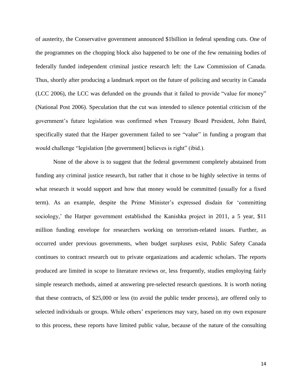of austerity, the Conservative government announced \$1billion in federal spending cuts. One of the programmes on the chopping block also happened to be one of the few remaining bodies of federally funded independent criminal justice research left: the Law Commission of Canada. Thus, shortly after producing a landmark report on the future of policing and security in Canada (LCC 2006), the LCC was defunded on the grounds that it failed to provide "value for money" (National Post 2006). Speculation that the cut was intended to silence potential criticism of the government's future legislation was confirmed when Treasury Board President, John Baird, specifically stated that the Harper government failed to see "value" in funding a program that would challenge "legislation [the government] believes is right" (ibid.).

None of the above is to suggest that the federal government completely abstained from funding any criminal justice research, but rather that it chose to be highly selective in terms of what research it would support and how that money would be committed (usually for a fixed term). As an example, despite the Prime Minister's expressed disdain for 'committing sociology,' the Harper government established the Kanishka project in 2011, a 5 year, \$11 million funding envelope for researchers working on terrorism-related issues. Further, as occurred under previous governments, when budget surpluses exist, Public Safety Canada continues to contract research out to private organizations and academic scholars. The reports produced are limited in scope to literature reviews or, less frequently, studies employing fairly simple research methods, aimed at answering pre-selected research questions. It is worth noting that these contracts, of \$25,000 or less (to avoid the public tender process), are offered only to selected individuals or groups. While others' experiences may vary, based on my own exposure to this process, these reports have limited public value, because of the nature of the consulting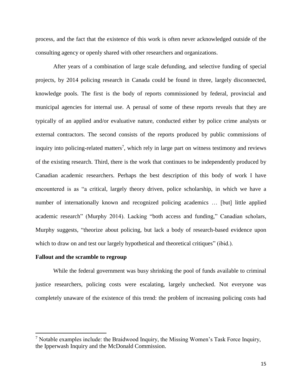process, and the fact that the existence of this work is often never acknowledged outside of the consulting agency or openly shared with other researchers and organizations.

After years of a combination of large scale defunding, and selective funding of special projects, by 2014 policing research in Canada could be found in three, largely disconnected, knowledge pools. The first is the body of reports commissioned by federal, provincial and municipal agencies for internal use. A perusal of some of these reports reveals that they are typically of an applied and/or evaluative nature, conducted either by police crime analysts or external contractors. The second consists of the reports produced by public commissions of inquiry into policing-related matters<sup>7</sup>, which rely in large part on witness testimony and reviews of the existing research. Third, there is the work that continues to be independently produced by Canadian academic researchers. Perhaps the best description of this body of work I have encountered is as "a critical, largely theory driven, police scholarship, in which we have a number of internationally known and recognized policing academics … [but] little applied academic research" (Murphy 2014). Lacking "both access and funding," Canadian scholars, Murphy suggests, "theorize about policing, but lack a body of research-based evidence upon which to draw on and test our largely hypothetical and theoretical critiques" (ibid.).

#### **Fallout and the scramble to regroup**

l

While the federal government was busy shrinking the pool of funds available to criminal justice researchers, policing costs were escalating, largely unchecked. Not everyone was completely unaware of the existence of this trend: the problem of increasing policing costs had

 $<sup>7</sup>$  Notable examples include: the Braidwood Inquiry, the Missing Women's Task Force Inquiry,</sup> the Ipperwash Inquiry and the McDonald Commission.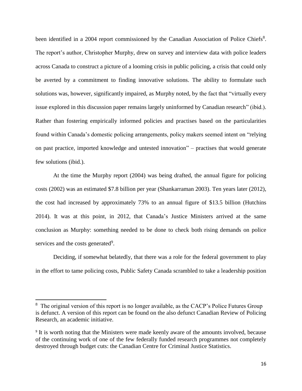been identified in a 2004 report commissioned by the Canadian Association of Police Chiefs<sup>8</sup>. The report's author, Christopher Murphy, drew on survey and interview data with police leaders across Canada to construct a picture of a looming crisis in public policing, a crisis that could only be averted by a commitment to finding innovative solutions. The ability to formulate such solutions was, however, significantly impaired, as Murphy noted, by the fact that "virtually every issue explored in this discussion paper remains largely uninformed by Canadian research" (ibid.). Rather than fostering empirically informed policies and practises based on the particularities found within Canada's domestic policing arrangements, policy makers seemed intent on "relying on past practice, imported knowledge and untested innovation" – practises that would generate few solutions (ibid.).

At the time the Murphy report (2004) was being drafted, the annual figure for policing costs (2002) was an estimated \$7.8 billion per year (Shankarraman 2003). Ten years later (2012), the cost had increased by approximately 73% to an annual figure of \$13.5 billion (Hutchins 2014). It was at this point, in 2012, that Canada's Justice Ministers arrived at the same conclusion as Murphy: something needed to be done to check both rising demands on police services and the costs generated<sup>9</sup>.

Deciding, if somewhat belatedly, that there was a role for the federal government to play in the effort to tame policing costs, Public Safety Canada scrambled to take a leadership position

 $\overline{\phantom{a}}$ 

<sup>&</sup>lt;sup>8</sup> The original version of this report is no longer available, as the CACP's Police Futures Group is defunct. A version of this report can be found on the also defunct Canadian Review of Policing Research, an academic initiative.

<sup>&</sup>lt;sup>9</sup> It is worth noting that the Ministers were made keenly aware of the amounts involved, because of the continuing work of one of the few federally funded research programmes not completely destroyed through budget cuts: the Canadian Centre for Criminal Justice Statistics.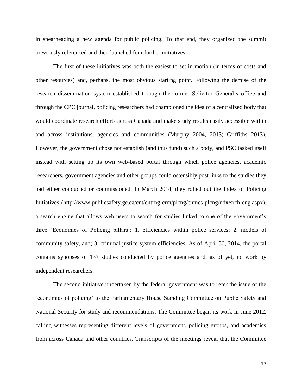in spearheading a new agenda for public policing. To that end, they organized the summit previously referenced and then launched four further initiatives.

The first of these initiatives was both the easiest to set in motion (in terms of costs and other resources) and, perhaps, the most obvious starting point. Following the demise of the research dissemination system established through the former Solicitor General's office and through the CPC journal, policing researchers had championed the idea of a centralized body that would coordinate research efforts across Canada and make study results easily accessible within and across institutions, agencies and communities (Murphy 2004, 2013; Griffiths 2013). However, the government chose not establish (and thus fund) such a body, and PSC tasked itself instead with setting up its own web-based portal through which police agencies, academic researchers, government agencies and other groups could ostensibly post links to the studies they had either conducted or commissioned. In March 2014, they rolled out the Index of Policing Initiatives (http://www.publicsafety.gc.ca/cnt/cntrng-crm/plcng/cnmcs-plcng/ndx/srch-eng.aspx), a search engine that allows web users to search for studies linked to one of the government's three 'Economics of Policing pillars': 1. efficiencies within police services; 2. models of community safety, and; 3. criminal justice system efficiencies. As of April 30, 2014, the portal contains synopses of 137 studies conducted by police agencies and, as of yet, no work by independent researchers.

The second initiative undertaken by the federal government was to refer the issue of the 'economics of policing' to the Parliamentary House Standing Committee on Public Safety and National Security for study and recommendations. The Committee began its work in June 2012, calling witnesses representing different levels of government, policing groups, and academics from across Canada and other countries. Transcripts of the meetings reveal that the Committee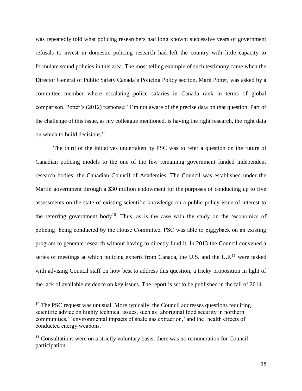was repeatedly told what policing researchers had long known: successive years of government refusals to invest in domestic policing research had left the country with little capacity to formulate sound policies in this area. The most telling example of such testimony came when the Director General of Public Safety Canada's Policing Policy section, Mark Potter, was asked by a committee member where escalating police salaries in Canada rank in terms of global comparison. Potter's (2012) response: "I'm not aware of the precise data on that question. Part of the challenge of this issue, as my colleague mentioned, is having the right research, the right data on which to build decisions."

The third of the initiatives undertaken by PSC was to refer a question on the future of Canadian policing models to the one of the few remaining government funded independent research bodies: the Canadian Council of Academies. The Council was established under the Martin government through a \$30 million endowment for the purposes of conducting up to five assessments on the state of existing scientific knowledge on a public policy issue of interest to the referring government body<sup>10</sup>. Thus, as is the case with the study on the 'economics of policing' being conducted by the House Committee, PSC was able to piggyback on an existing program to generate research without having to directly fund it. In 2013 the Council convened a series of meetings at which policing experts from Canada, the U.S. and the U.K<sup>11</sup> were tasked with advising Council staff on how best to address this question, a tricky proposition in light of the lack of available evidence on key issues. The report is set to be published in the fall of 2014.

l

 $10$  The PSC request was unusual. More typically, the Council addresses questions requiring scientific advice on highly technical issues, such as 'aboriginal food security in northern communities,' 'environmental impacts of shale gas extraction,' and the 'health effects of conducted energy weapons.'

 $11$  Consultations were on a strictly voluntary basis; there was no remuneration for Council participation.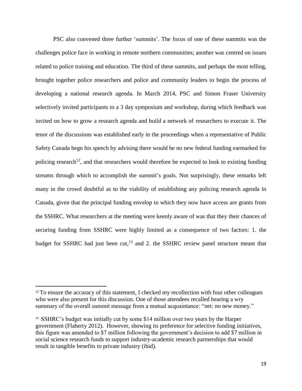PSC also convened three further 'summits'. The focus of one of these summits was the challenges police face in working in remote northern communities; another was centred on issues related to police training and education. The third of these summits, and perhaps the most telling, brought together police researchers and police and community leaders to begin the process of developing a national research agenda. In March 2014, PSC and Simon Fraser University selectively invited participants to a 3 day symposium and workshop, during which feedback was invited on how to grow a research agenda and build a network of researchers to execute it. The tenor of the discussions was established early in the proceedings when a representative of Public Safety Canada begn his speech by advising there would be no new federal funding earmarked for policing research<sup>12</sup>, and that researchers would therefore be expected to look to existing funding streams through which to accomplish the summit's goals. Not surprisingly, these remarks left many in the crowd doubtful as to the viability of establishing any policing research agenda in Canada, given that the principal funding envelop to which they now have access are grants from the SSHRC. What researchers at the meeting were keenly aware of was that they their chances of securing funding from SSHRC were highly limited as a consequence of two factors: 1. the budget for SSHRC had just been cut,<sup>13</sup> and 2. the SSHRC review panel structure meant that

 $\overline{\phantom{a}}$ 

<sup>&</sup>lt;sup>12</sup> To ensure the accuracy of this statement, I checked my recollection with four other colleagues who were also present for this discussion. One of those attendees recalled hearing a wry summary of the overall summit message from a mutual acquaintance: "net: no new money."

<sup>13</sup> SSHRC's budget was initially cut by some \$14 million over two years by the Harper government (Flaherty 2012). However, showing its preference for selective funding initiatives, this figure was amended to \$7 million following the government's decision to add \$7 million in social science research funds to support industry-academic research partnerships that would result in tangible benefits to private industry (ibid).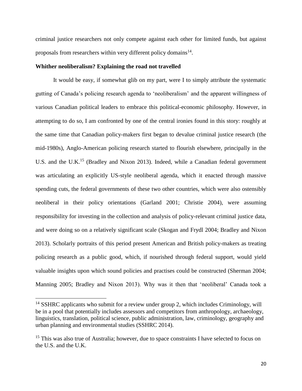criminal justice researchers not only compete against each other for limited funds, but against proposals from researchers within very different policy domains $^{14}$ .

#### **Whither neoliberalism? Explaining the road not travelled**

It would be easy, if somewhat glib on my part, were I to simply attribute the systematic gutting of Canada's policing research agenda to 'neoliberalism' and the apparent willingness of various Canadian political leaders to embrace this political-economic philosophy. However, in attempting to do so, I am confronted by one of the central ironies found in this story: roughly at the same time that Canadian policy-makers first began to devalue criminal justice research (the mid-1980s), Anglo-American policing research started to flourish elsewhere, principally in the U.S. and the U.K.<sup>15</sup> (Bradley and Nixon 2013). Indeed, while a Canadian federal government was articulating an explicitly US-style neoliberal agenda, which it enacted through massive spending cuts, the federal governments of these two other countries, which were also ostensibly neoliberal in their policy orientations (Garland 2001; Christie 2004), were assuming responsibility for investing in the collection and analysis of policy-relevant criminal justice data, and were doing so on a relatively significant scale (Skogan and Frydl 2004; Bradley and Nixon 2013). Scholarly portraits of this period present American and British policy-makers as treating policing research as a public good, which, if nourished through federal support, would yield valuable insights upon which sound policies and practises could be constructed (Sherman 2004; Manning 2005; Bradley and Nixon 2013). Why was it then that 'neoliberal' Canada took a

 $\overline{a}$ 

 $14$  SSHRC applicants who submit for a review under group 2, which includes Criminology, will be in a pool that potentially includes assessors and competitors from anthropology, archaeology, linguistics, translation, political science, public administration, law, criminology, geography and urban planning and environmental studies (SSHRC 2014).

<sup>&</sup>lt;sup>15</sup> This was also true of Australia; however, due to space constraints I have selected to focus on the U.S. and the U.K.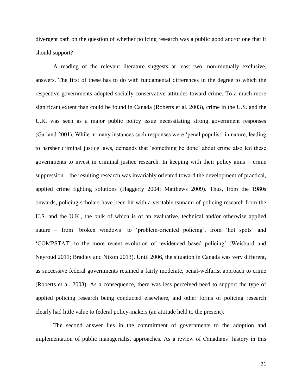divergent path on the question of whether policing research was a public good and/or one that it should support?

A reading of the relevant literature suggests at least two, non-mutually exclusive, answers. The first of these has to do with fundamental differences in the degree to which the respective governments adopted socially conservative attitudes toward crime. To a much more significant extent than could be found in Canada (Roberts et al. 2003), crime in the U.S. and the U.K. was seen as a major public policy issue necessitating strong government responses (Garland 2001). While in many instances such responses were 'penal populist' in nature, leading to harsher criminal justice laws, demands that 'something be done' about crime also led these governments to invest in criminal justice research. In keeping with their policy aims – crime suppression – the resulting research was invariably oriented toward the development of practical, applied crime fighting solutions (Haggerty 2004; Matthews 2009). Thus, from the 1980s onwards, policing scholars have been hit with a veritable tsunami of policing research from the U.S. and the U.K., the bulk of which is of an evaluative, technical and/or otherwise applied nature – from 'broken windows' to 'problem-oriented policing', from 'hot spots' and 'COMPSTAT' to the more recent evolution of 'evidenced based policing' (Weisburd and Neyroud 2011; Bradley and Nixon 2013). Until 2006, the situation in Canada was very different, as successive federal governments retained a fairly moderate, penal-welfarist approach to crime (Roberts et al. 2003). As a consequence, there was less perceived need to support the type of applied policing research being conducted elsewhere, and other forms of policing research clearly had little value to federal policy-makers (an attitude held to the present).

The second answer lies in the commitment of governments to the adoption and implementation of public managerialist approaches. As a review of Canadians' history in this

21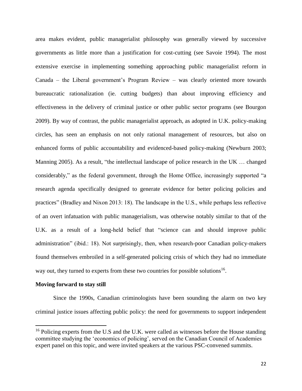area makes evident, public managerialist philosophy was generally viewed by successive governments as little more than a justification for cost-cutting (see Savoie 1994). The most extensive exercise in implementing something approaching public managerialist reform in Canada – the Liberal government's Program Review – was clearly oriented more towards bureaucratic rationalization (ie. cutting budgets) than about improving efficiency and effectiveness in the delivery of criminal justice or other public sector programs (see Bourgon 2009). By way of contrast, the public managerialist approach, as adopted in U.K. policy-making circles, has seen an emphasis on not only rational management of resources, but also on enhanced forms of public accountability and evidenced-based policy-making (Newburn 2003; Manning 2005). As a result, "the intellectual landscape of police research in the UK … changed considerably," as the federal government, through the Home Office, increasingly supported "a research agenda specifically designed to generate evidence for better policing policies and practices" (Bradley and Nixon 2013: 18). The landscape in the U.S., while perhaps less reflective of an overt infatuation with public managerialism, was otherwise notably similar to that of the U.K. as a result of a long-held belief that "science can and should improve public administration" (ibid.: 18). Not surprisingly, then, when research-poor Canadian policy-makers found themselves embroiled in a self-generated policing crisis of which they had no immediate way out, they turned to experts from these two countries for possible solutions<sup>16</sup>.

#### **Moving forward to stay still**

l

Since the 1990s, Canadian criminologists have been sounding the alarm on two key criminal justice issues affecting public policy: the need for governments to support independent

<sup>&</sup>lt;sup>16</sup> Policing experts from the U.S and the U.K. were called as witnesses before the House standing committee studying the 'economics of policing', served on the Canadian Council of Academies expert panel on this topic, and were invited speakers at the various PSC-convened summits.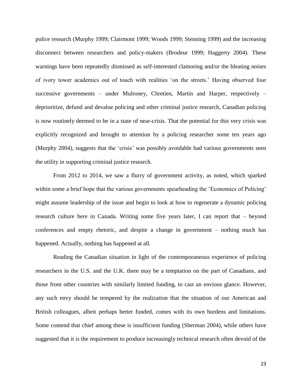police research (Murphy 1999; Clairmont 1999; Woods 1999; Stenning 1999) and the increasing disconnect between researchers and policy-makers (Brodeur 1999; Haggerty 2004). These warnings have been repeatedly dismissed as self-interested clamoring and/or the bleating noises of ivory tower academics out of touch with realities 'on the streets.' Having observed four successive governments – under Mulroney, Chretien, Martin and Harper, respectively – deprioritize, defund and devalue policing and other criminal justice research, Canadian policing is now routinely deemed to be in a state of near-crisis. That the potential for this very crisis was explicitly recognized and brought to attention by a policing researcher some ten years ago (Murphy 2004), suggests that the 'crisis' was possibly avoidable had various governments seen the utility in supporting criminal justice research.

From 2012 to 2014, we saw a flurry of government activity, as noted, which sparked within some a brief hope that the various governments spearheading the 'Economics of Policing' might assume leadership of the issue and begin to look at how to regenerate a dynamic policing research culture here in Canada. Writing some five years later, I can report that – beyond conferences and empty rhetoric, and despite a change in government – nothing much has happened. Actually, nothing has happened at all.

Reading the Canadian situation in light of the contemporaneous experience of policing researchers in the U.S. and the U.K. there may be a temptation on the part of Canadians, and those from other countries with similarly limited funding, to cast an envious glance. However, any such envy should be tempered by the realization that the situation of our American and British colleagues, albeit perhaps better funded, comes with its own burdens and limitations. Some contend that chief among these is insufficient funding (Sherman 2004), while others have suggested that it is the requirement to produce increasingly technical research often devoid of the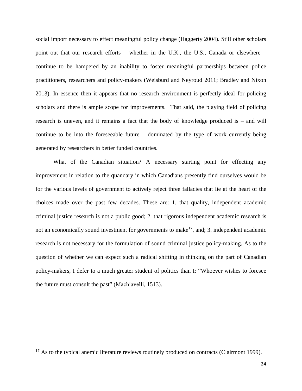social import necessary to effect meaningful policy change (Haggerty 2004). Still other scholars point out that our research efforts – whether in the U.K., the U.S., Canada or elsewhere – continue to be hampered by an inability to foster meaningful partnerships between police practitioners, researchers and policy-makers (Weisburd and Neyroud 2011; Bradley and Nixon 2013). In essence then it appears that no research environment is perfectly ideal for policing scholars and there is ample scope for improvements. That said, the playing field of policing research is uneven, and it remains a fact that the body of knowledge produced is – and will continue to be into the foreseeable future – dominated by the type of work currently being generated by researchers in better funded countries.

What of the Canadian situation? A necessary starting point for effecting any improvement in relation to the quandary in which Canadians presently find ourselves would be for the various levels of government to actively reject three fallacies that lie at the heart of the choices made over the past few decades. These are: 1. that quality, independent academic criminal justice research is not a public good; 2. that rigorous independent academic research is not an economically sound investment for governments to make<sup>17</sup>, and; 3. independent academic research is not necessary for the formulation of sound criminal justice policy-making. As to the question of whether we can expect such a radical shifting in thinking on the part of Canadian policy-makers, I defer to a much greater student of politics than I: "Whoever wishes to foresee the future must consult the past" (Machiavelli, 1513).

 $\overline{\phantom{a}}$ 

 $17$  As to the typical anemic literature reviews routinely produced on contracts (Clairmont 1999).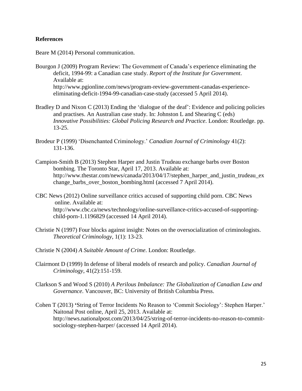## **References**

Beare M (2014) Personal communication.

- Bourgon J (2009) Program Review: The Government of Canada's experience eliminating the deficit, 1994-99: a Canadian case study. *Report of the Institute for Government*. Available at: http://www.pgionline.com/news/program-review-government-canadas-experienceeliminating-deficit-1994-99-canadian-case-study (accessed 5 April 2014).
- Bradley D and Nixon C (2013) Ending the 'dialogue of the deaf': Evidence and policing policies and practises. An Australian case study. In: Johnston L and Shearing C (eds) *Innovative Possibilities: Global Policing Research and Practice*. London: Routledge. pp. 13-25.
- Brodeur P (1999) 'Disenchanted Criminology.' *Canadian Journal of Criminology* 41(2): 131-136.
- Campion-Smith B (2013) Stephen Harper and Justin Trudeau exchange barbs over Boston bombing. The Toronto Star, April 17, 2013. Available at: http://www.thestar.com/news/canada/2013/04/17/stephen\_harper\_and\_justin\_trudeau\_ex change barbs over boston bombing.html (accessed 7 April 2014).
- CBC News (2012) Online surveillance critics accused of supporting child porn. CBC News online. Available at: http://www.cbc.ca/news/technology/online-surveillance-critics-accused-of-supportingchild-porn-1.1196829 (accessed 14 April 2014).
- Christie N (1997) Four blocks against insight: Notes on the oversocialization of criminologists. *Theoretical Criminology*, 1(1): 13-23.
- Christie N (2004) *A Suitable Amount of Crime*. London: Routledge.
- Clairmont D (1999) In defense of liberal models of research and policy. *Canadian Journal of Criminology*, 41(2):151-159.
- Clarkson S and Wood S (2010) *A Perilous Imbalance: The Globalization of Canadian Law and Governance*. Vancouver, BC: University of British Columbia Press.
- Cohen T (2013) **'**String of Terror Incidents No Reason to 'Commit Sociology': Stephen Harper.' Naitonal Post online, April 25, 2013. Available at: http://news.nationalpost.com/2013/04/25/string-of-terror-incidents-no-reason-to-commitsociology-stephen-harper/ (accessed 14 April 2014).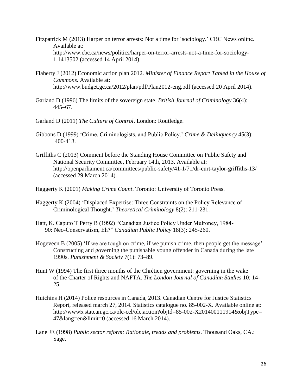- Fitzpatrick M (2013) Harper on terror arrests: Not a time for 'sociology.' CBC News online. Available at: <http://www.cbc.ca/news/politics/harper-on-terror-arrests-not-a-time-for-sociology->1.1413502 (accessed 14 April 2014).
- Flaherty J (2012) Economic action plan 2012. *Minister of Finance Report Tabled in the House of Commons*. Available at: http://www.budget.gc.ca/2012/plan/pdf/Plan2012-eng.pdf (accessed 20 April 2014).
- Garland D (1996) The limits of the sovereign state. *British Journal of Criminology* 36(4): 445–67.
- Garland D (2011) *The Culture of Control*. London: Routledge.
- Gibbons D (1999) 'Crime, Criminologists, and Public Policy.' *Crime & Delinquency* 45(3): 400-413.
- Griffiths C (2013) Comment before the Standing House Committee on Public Safety and National Security Committee, February 14th, 2013. Available at: http://openparliament.ca/committees/public-safety/41-1/71/dr-curt-taylor-griffiths-13/ (accessed 29 March 2014).
- Haggerty K (2001) *Making Crime Count*. Toronto: University of Toronto Press.
- Haggerty K (2004) 'Displaced Expertise: Three Constraints on the Policy Relevance of Criminological Thought.' *Theoretical Criminology* 8(2): 211-231.
- Hatt, K. Caputo T Perry B (1992) "Canadian Justice Policy Under Mulroney, 1984- 90: Neo-Conservatism, Eh?" *Canadian Public Policy* 18(3): 245-260.
- Hogeveen B (2005) 'If we are tough on crime, if we punish crime, then people get the message' Constructing and governing the punishable young offender in Canada during the late 1990s. *Punishment & Society* 7(1): 73–89.
- Hunt W (1994) The first three months of the Chrétien government: governing in the wake of the Charter of Rights and NAFTA. *The London Journal of Canadian Studies* 10: 14- 25.
- Hutchins H (2014) Police resources in Canada, 2013. Canadian Centre for Justice Statistics Report, released march 27, 2014. Statistics catalogue no. 85-002-X. Available online at: [http://www5.statcan.gc.ca/olc-cel/olc.action?objId=85-002-X201400111914&objType=](http://www5.statcan.gc.ca/olc-cel/olc.action?objId=85-002-X201400111914&objType) 47&lang=en&limit=0 (accessed 16 March 2014).
- Lane JE (1998) *Public sector reform: Rationale, treads and problems*. Thousand Oaks, CA.: Sage.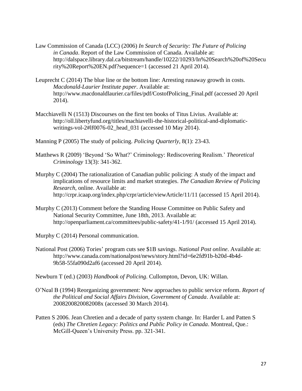- Law Commission of Canada (LCC) (2006) *In Search of Security: The Future of Policing in Canada*. Report of the Law Commission of Canada. Available at: <http://dalspace.library.dal.ca/bitstream/handle/10222/10293/In%20Search%20of%20Secu> rity%20Report%20EN.pdf?sequence=1 (accessed 21 April 2014).
- Leuprecht C (2014) The blue line or the bottom line: Arresting runaway growth in costs. *Macdonald-Laurier Institute paper*. Available at: http://www.macdonaldlaurier.ca/files/pdf/CostofPolicing\_Final.pdf (accessed 20 April 2014).
- Macchiavelli N (1513) Discourses on the first ten books of Titus Livius. Available at: http://oll.libertyfund.org/titles/machiavelli-the-historical-political-and-diplomaticwritings-vol-2#lf0076-02\_head\_031 (accessed 10 May 2014).
- Manning P (2005) The study of policing. *Policing Quarterly*, 8(1): 23-43.
- Matthews R (2009) 'Beyond 'So What?' Criminology: Rediscovering Realism.' *Theoretical Criminology* 13(3): 341-362.
- Murphy C (2004) The rationalization of Canadian public policing: A study of the impact and implications of resource limits and market strategies. *The Canadian Review of Policing Research*, online. Available at: http://crpr.icaap.org/index.php/crpr/article/viewArticle/11/11 (accessed 15 April 2014).
- Murphy C (2013) Comment before the Standing House Committee on Public Safety and National Security Committee, June 18th, 2013. Available at: http://openparliament.ca/committees/public-safety/41-1/91/ (accessed 15 April 2014).
- Murphy C (2014) Personal communication.
- National Post (2006) Tories' program cuts see \$1B savings. *National Post online*. Available at: http://www.canada.com/nationalpost/news/story.html?id=6e2fd91b-b20d-4b4d-9b58-55fa090d2af6 (accessed 20 April 2014).

Newburn T (ed.) (2003) *Handbook of Policing*. Cullompton, Devon, UK: Willan.

- O'Neal B (1994) Reorganizing government: New approaches to public service reform. *Report of the Political and Social Affairs Division, Government of Canada*. Available at: 2008200820082008x (accessed 30 March 2014).
- Patten S 2006. Jean Chretien and a decade of party system change. In: Harder L and Patten S (eds) *The Chretien Legacy: Politics and Public Policy in Canada*. Montreal, Que.: McGill-Queen's University Press. pp. 321-341.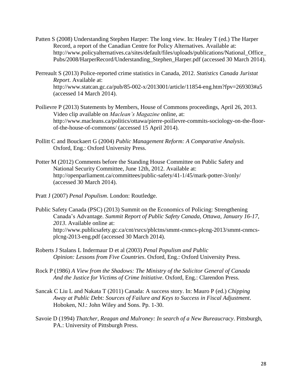- Patten S (2008) Understanding Stephen Harper: The long view. In: Healey T (ed.) The Harper Record, a report of the Canadian Centre for Policy Alternatives. Available at: [http://www.policyalternatives.ca/sites/default/files/uploads/publications/National\\_Office\\_](http://www.policyalternatives.ca/sites/default/files/uploads/publications/National_Office_) Pubs/2008/HarperRecord/Understanding\_Stephen\_Harper.pdf (accessed 30 March 2014).
- Perreault S (2013) Police-reported crime statistics in Canada, 2012. *Statistics Canada Juristat Report*. Available at: http://www.statcan.gc.ca/pub/85-002-x/2013001/article/11854-eng.htm?fpv=269303#a5 (accessed 14 March 2014).
- Poilievre P (2013) Statements by Members, House of Commons proceedings, April 26, 2013. Video clip available on *Maclean's Magazine* online, at: http://www.macleans.ca/politics/ottawa/pierre-poilievre-commits-sociology-on-the-floorof-the-house-of-commons/ (accessed 15 April 2014).
- Pollitt C and Bouckaert G (2004) *Public Management Reform: A Comparative Analysis.*  Oxford, Eng.: Oxford University Press.
- Potter M (2012) Comments before the Standing House Committee on Public Safety and National Security Committee, June 12th, 2012. Available at: http://openparliament.ca/committees/public-safety/41-1/45/mark-potter-3/only/ (accessed 30 March 2014).
- Pratt J (2007) *Penal Populism*. London: Routledge.
- Public Safety Canada (PSC) (2013) Summit on the Economics of Policing: Strengthening Canada's Advantage. *Summit Report of Public Safety Canada, Ottawa, January 16-17, 2013*. Available online at: http://www.publicsafety.gc.ca/cnt/rsrcs/pblctns/smmt-cnmcs-plcng-2013/smmt-cnmcsplcng-2013-eng.pdf (accessed 30 March 2014).
- Roberts J Stalans L Indermaur D et al (2003) *Penal Populism and Public Opinion: Lessons from Five Countries*. Oxford, Eng.: Oxford University Press.
- Rock P (1986) *A View from the Shadows: The Ministry of the Solicitor General of Canada And the Justice for Victims of Crime Initiative*. Oxford, Eng.: Clarendon Press.
- Sancak C Liu L and Nakata T (2011) Canada: A success story. In: Mauro P (ed.) *Chipping Away at Public Debt: Sources of Failure and Keys to Success in Fiscal Adjustment*. Hoboken, NJ.: John Wiley and Sons. Pp. 1-30.
- Savoie D (1994) *Thatcher, Reagan and Mulroney: In search of a New Bureaucracy*. Pittsburgh, PA.: University of Pittsburgh Press.